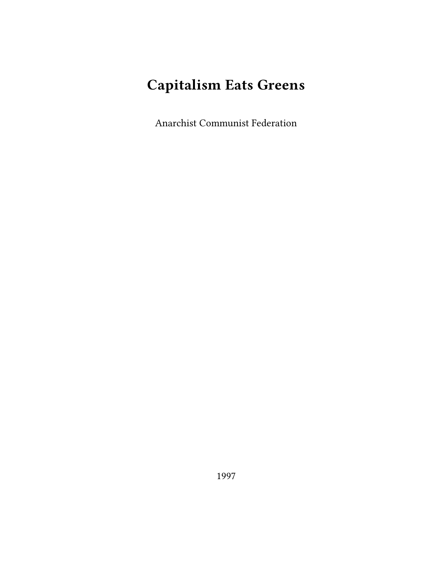# **Capitalism Eats Greens**

Anarchist Communist Federation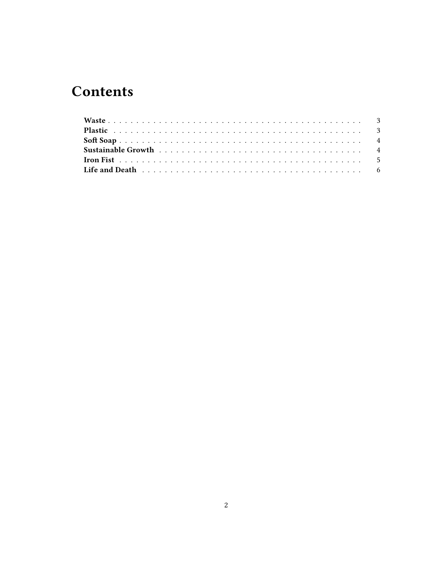# **Contents**

| Life and Death responses to the contract of the contract of the contract of the contract of the contract of the contract of the contract of the contract of the contract of the contract of the contract of the contract of th |  |
|--------------------------------------------------------------------------------------------------------------------------------------------------------------------------------------------------------------------------------|--|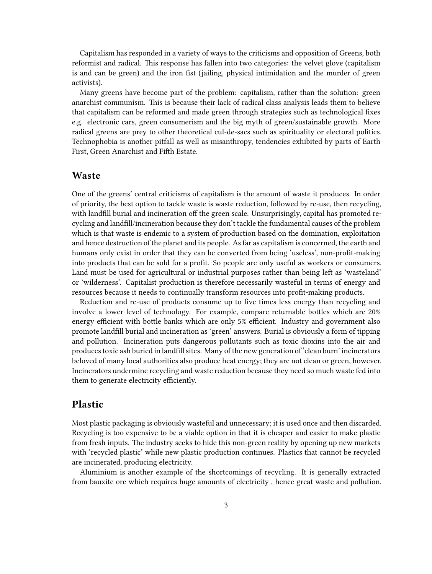Capitalism has responded in a variety of ways to the criticisms and opposition of Greens, both reformist and radical. This response has fallen into two categories: the velvet glove (capitalism is and can be green) and the iron fist (jailing, physical intimidation and the murder of green activists).

Many greens have become part of the problem: capitalism, rather than the solution: green anarchist communism. This is because their lack of radical class analysis leads them to believe that capitalism can be reformed and made green through strategies such as technological fixes e.g. electronic cars, green consumerism and the big myth of green/sustainable growth. More radical greens are prey to other theoretical cul-de-sacs such as spirituality or electoral politics. Technophobia is another pitfall as well as misanthropy, tendencies exhibited by parts of Earth First, Green Anarchist and Fifth Estate.

#### <span id="page-2-0"></span>**Waste**

One of the greens' central criticisms of capitalism is the amount of waste it produces. In order of priority, the best option to tackle waste is waste reduction, followed by re-use, then recycling, with landfill burial and incineration off the green scale. Unsurprisingly, capital has promoted recycling and landfill/incineration because they don't tackle the fundamental causes of the problem which is that waste is endemic to a system of production based on the domination, exploitation and hence destruction of the planet and its people. As far as capitalism is concerned, the earth and humans only exist in order that they can be converted from being 'useless', non-profit-making into products that can be sold for a profit. So people are only useful as workers or consumers. Land must be used for agricultural or industrial purposes rather than being left as 'wasteland' or 'wilderness'. Capitalist production is therefore necessarily wasteful in terms of energy and resources because it needs to continually transform resources into profit-making products.

Reduction and re-use of products consume up to five times less energy than recycling and involve a lower level of technology. For example, compare returnable bottles which are 20% energy efficient with bottle banks which are only 5% efficient. Industry and government also promote landfill burial and incineration as 'green' answers. Burial is obviously a form of tipping and pollution. Incineration puts dangerous pollutants such as toxic dioxins into the air and produces toxic ash buried in landfill sites. Many of the new generation of 'clean burn' incinerators beloved of many local authorities also produce heat energy; they are not clean or green, however. Incinerators undermine recycling and waste reduction because they need so much waste fed into them to generate electricity efficiently.

#### <span id="page-2-1"></span>**Plastic**

Most plastic packaging is obviously wasteful and unnecessary; it is used once and then discarded. Recycling is too expensive to be a viable option in that it is cheaper and easier to make plastic from fresh inputs. The industry seeks to hide this non-green reality by opening up new markets with 'recycled plastic' while new plastic production continues. Plastics that cannot be recycled are incinerated, producing electricity.

Aluminium is another example of the shortcomings of recycling. It is generally extracted from bauxite ore which requires huge amounts of electricity , hence great waste and pollution.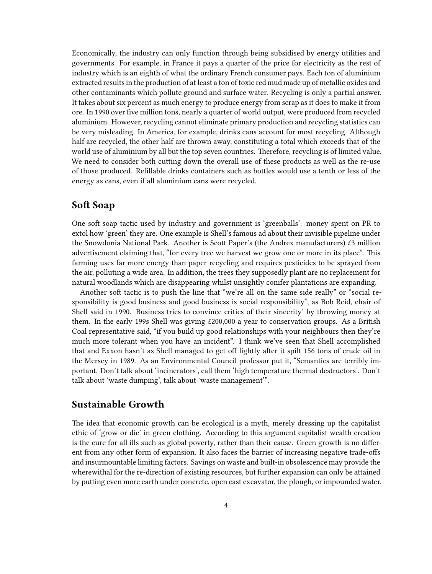Economically, the industry can only function through being subsidised by energy utilities and governments. For example, in France it pays a quarter of the price for electricity as the rest of industry which is an eighth of what the ordinary French consumer pays. Each ton of aluminium extracted results in the production of at least a ton of toxic red mud made up of metallic oxides and other contaminants which pollute ground and surface water. Recycling is only a partial answer. It takes about six percent as much energy to produce energy from scrap as it does to make it from ore. In 1990 over five million tons, nearly a quarter of world output, were produced from recycled aluminium. However, recycling cannot eliminate primary production and recycling statistics can be very misleading. In America, for example, drinks cans account for most recycling. Although half are recycled, the other half are thrown away, constituting a total which exceeds that of the world use of aluminium by all but the top seven countries. Therefore, recycling is of limited value. We need to consider both cutting down the overall use of these products as well as the re-use of those produced. Refillable drinks containers such as bottles would use a tenth or less of the energy as cans, even if all aluminium cans were recycled.

## <span id="page-3-0"></span>**Soft Soap**

One soft soap tactic used by industry and government is 'greenballs': money spent on PR to extol how 'green' they are. One example is Shell's famous ad about their invisible pipeline under the Snowdonia National Park. Another is Scott Paper's (the Andrex manufacturers) £3 million advertisement claiming that, "for every tree we harvest we grow one or more in its place". This farming uses far more energy than paper recycling and requires pesticides to be sprayed from the air, polluting a wide area. In addition, the trees they supposedly plant are no replacement for natural woodlands which are disappearing whilst unsightly conifer plantations are expanding.

Another soft tactic is to push the line that "we're all on the same side really" or "social responsibility is good business and good business is social responsibility", as Bob Reid, chair of Shell said in 1990. Business tries to convince critics of their sincerity' by throwing money at them. In the early 199s Shell was giving £200,000 a year to conservation groups. As a British Coal representative said, "if you build up good relationships with your neighbours then they're much more tolerant when you have an incident". I think we've seen that Shell accomplished that and Exxon hasn't as Shell managed to get off lightly after it spilt 156 tons of crude oil in the Mersey in 1989. As an Environmental Council professor put it, "Semantics are terribly important. Don't talk about 'incinerators', call them 'high temperature thermal destructors'. Don't talk about 'waste dumping', talk about 'waste management'".

#### <span id="page-3-1"></span>**Sustainable Growth**

The idea that economic growth can be ecological is a myth, merely dressing up the capitalist ethic of 'grow or die' in green clothing. According to this argument capitalist wealth creation is the cure for all ills such as global poverty, rather than their cause. Green growth is no different from any other form of expansion. It also faces the barrier of increasing negative trade-offs and insurmountable limiting factors. Savings on waste and built-in obsolescence may provide the wherewithal for the re-direction of existing resources, but further expansion can only be attained by putting even more earth under concrete, open cast excavator, the plough, or impounded water.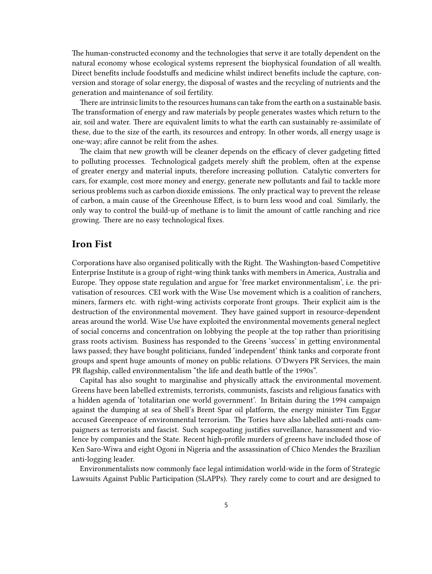The human-constructed economy and the technologies that serve it are totally dependent on the natural economy whose ecological systems represent the biophysical foundation of all wealth. Direct benefits include foodstuffs and medicine whilst indirect benefits include the capture, conversion and storage of solar energy, the disposal of wastes and the recycling of nutrients and the generation and maintenance of soil fertility.

There are intrinsic limits to the resources humans can take from the earth on a sustainable basis. The transformation of energy and raw materials by people generates wastes which return to the air, soil and water. There are equivalent limits to what the earth can sustainably re-assimilate of these, due to the size of the earth, its resources and entropy. In other words, all energy usage is one-way; afire cannot be relit from the ashes.

The claim that new growth will be cleaner depends on the efficacy of clever gadgeting fitted to polluting processes. Technological gadgets merely shift the problem, often at the expense of greater energy and material inputs, therefore increasing pollution. Catalytic converters for cars, for example, cost more money and energy, generate new pollutants and fail to tackle more serious problems such as carbon dioxide emissions. The only practical way to prevent the release of carbon, a main cause of the Greenhouse Effect, is to burn less wood and coal. Similarly, the only way to control the build-up of methane is to limit the amount of cattle ranching and rice growing. There are no easy technological fixes.

### <span id="page-4-0"></span>**Iron Fist**

Corporations have also organised politically with the Right. The Washington-based Competitive Enterprise Institute is a group of right-wing think tanks with members in America, Australia and Europe. They oppose state regulation and argue for 'free market environmentalism', i.e. the privatisation of resources. CEI work with the Wise Use movement which is a coalition of ranchers, miners, farmers etc. with right-wing activists corporate front groups. Their explicit aim is the destruction of the environmental movement. They have gained support in resource-dependent areas around the world. Wise Use have exploited the environmental movements general neglect of social concerns and concentration on lobbying the people at the top rather than prioritising grass roots activism. Business has responded to the Greens 'success' in getting environmental laws passed; they have bought politicians, funded 'independent' think tanks and corporate front groups and spent huge amounts of money on public relations. O'Dwyers PR Services, the main PR flagship, called environmentalism "the life and death battle of the 1990s".

Capital has also sought to marginalise and physically attack the environmental movement. Greens have been labelled extremists, terrorists, communists, fascists and religious fanatics with a hidden agenda of 'totalitarian one world government'. In Britain during the 1994 campaign against the dumping at sea of Shell's Brent Spar oil platform, the energy minister Tim Eggar accused Greenpeace of environmental terrorism. The Tories have also labelled anti-roads campaigners as terrorists and fascist. Such scapegoating justifies surveillance, harassment and violence by companies and the State. Recent high-profile murders of greens have included those of Ken Saro-Wiwa and eight Ogoni in Nigeria and the assassination of Chico Mendes the Brazilian anti-logging leader.

Environmentalists now commonly face legal intimidation world-wide in the form of Strategic Lawsuits Against Public Participation (SLAPPs). They rarely come to court and are designed to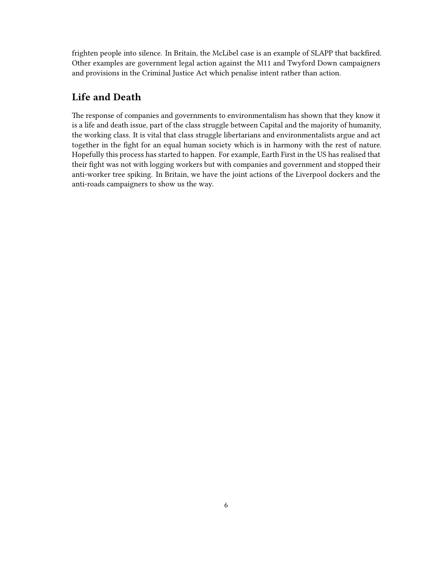frighten people into silence. In Britain, the McLibel case is an example of SLAPP that backfired. Other examples are government legal action against the M11 and Twyford Down campaigners and provisions in the Criminal Justice Act which penalise intent rather than action.

### <span id="page-5-0"></span>**Life and Death**

The response of companies and governments to environmentalism has shown that they know it is a life and death issue, part of the class struggle between Capital and the majority of humanity, the working class. It is vital that class struggle libertarians and environmentalists argue and act together in the fight for an equal human society which is in harmony with the rest of nature. Hopefully this process has started to happen. For example, Earth First in the US has realised that their fight was not with logging workers but with companies and government and stopped their anti-worker tree spiking. In Britain, we have the joint actions of the Liverpool dockers and the anti-roads campaigners to show us the way.